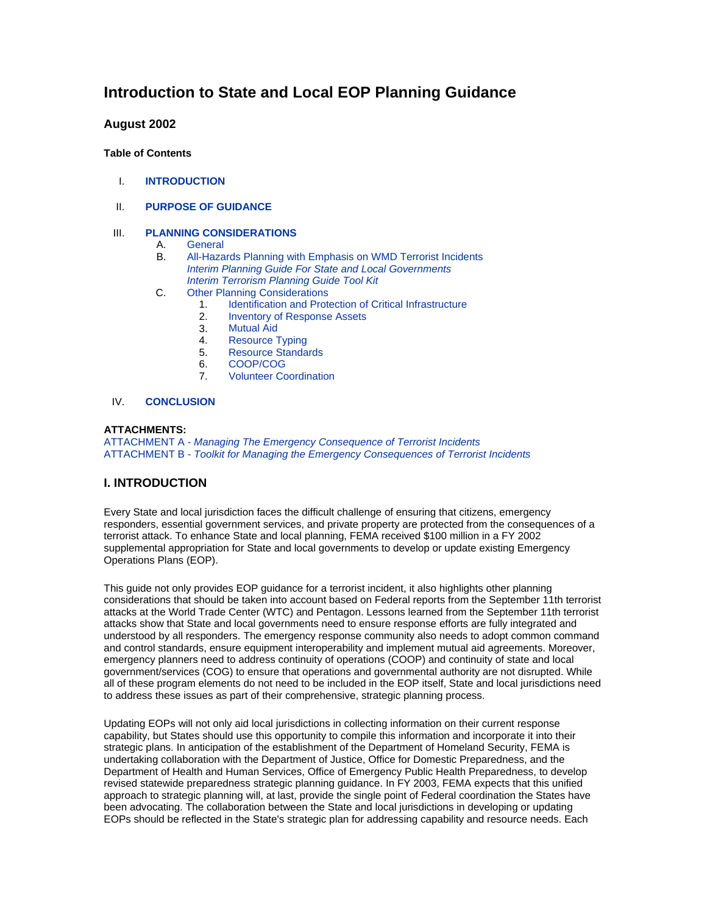# **Introduction to State and Local EOP Planning Guidance**

# **August 2002**

## **Table of Contents**

- I. **INTRODUCTION**
- II. **PURPOSE OF GUIDANCE**

## III. **PLANNING CONSIDERATIONS**

- A. General
- B. All-Hazards Planning with Emphasis on WMD Terrorist Incidents *Interim Planning Guide For State and Local Governments Interim Terrorism Planning Guide Tool Kit*
- C. Other Planning Considerations
	- 1. Identification and Protection of Critical Infrastructure<br>2. Inventory of Response Assets
	- Inventory of Response Assets
	- 3. Mutual Aid
	- 4. Resource Typing
	- 5. Resource Standards
	- 6. COOP/COG
	- 7. Volunteer Coordination

### IV. **CONCLUSION**

### **ATTACHMENTS:**

ATTACHMENT A - *[Managing The Emergency Consequence of Terrorist Incidents](http://www.fema.gov/preparedness/managing.shtm)*  ATTACHMENT B - *[Toolkit for Managing the Emergency Consequences of Terrorist Incidents](http://www.fema.gov/preparedness/toolkit.shtm)* 

# **I. INTRODUCTION**

Every State and local jurisdiction faces the difficult challenge of ensuring that citizens, emergency responders, essential government services, and private property are protected from the consequences of a terrorist attack. To enhance State and local planning, FEMA received \$100 million in a FY 2002 supplemental appropriation for State and local governments to develop or update existing Emergency Operations Plans (EOP).

This guide not only provides EOP guidance for a terrorist incident, it also highlights other planning considerations that should be taken into account based on Federal reports from the September 11th terrorist attacks at the World Trade Center (WTC) and Pentagon. Lessons learned from the September 11th terrorist attacks show that State and local governments need to ensure response efforts are fully integrated and understood by all responders. The emergency response community also needs to adopt common command and control standards, ensure equipment interoperability and implement mutual aid agreements. Moreover, emergency planners need to address continuity of operations (COOP) and continuity of state and local government/services (COG) to ensure that operations and governmental authority are not disrupted. While all of these program elements do not need to be included in the EOP itself, State and local jurisdictions need to address these issues as part of their comprehensive, strategic planning process.

Updating EOPs will not only aid local jurisdictions in collecting information on their current response capability, but States should use this opportunity to compile this information and incorporate it into their strategic plans. In anticipation of the establishment of the Department of Homeland Security, FEMA is undertaking collaboration with the Department of Justice, Office for Domestic Preparedness, and the Department of Health and Human Services, Office of Emergency Public Health Preparedness, to develop revised statewide preparedness strategic planning guidance. In FY 2003, FEMA expects that this unified approach to strategic planning will, at last, provide the single point of Federal coordination the States have been advocating. The collaboration between the State and local jurisdictions in developing or updating EOPs should be reflected in the State's strategic plan for addressing capability and resource needs. Each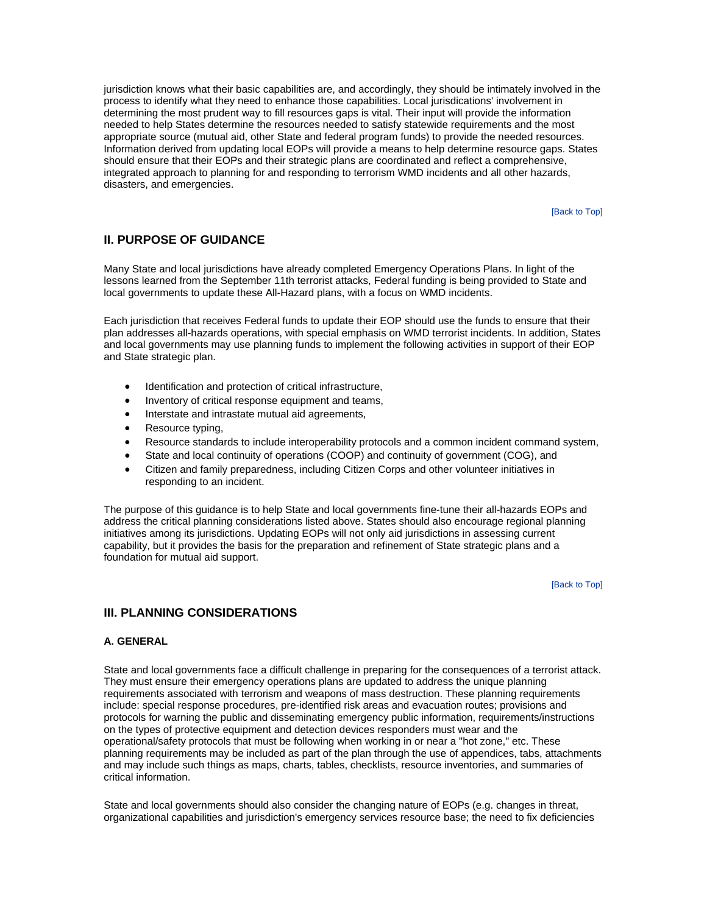jurisdiction knows what their basic capabilities are, and accordingly, they should be intimately involved in the process to identify what they need to enhance those capabilities. Local jurisdications' involvement in determining the most prudent way to fill resources gaps is vital. Their input will provide the information needed to help States determine the resources needed to satisfy statewide requirements and the most appropriate source (mutual aid, other State and federal program funds) to provide the needed resources. Information derived from updating local EOPs will provide a means to help determine resource gaps. States should ensure that their EOPs and their strategic plans are coordinated and reflect a comprehensive, integrated approach to planning for and responding to terrorism WMD incidents and all other hazards, disasters, and emergencies.

[Back to Top]

# **II. PURPOSE OF GUIDANCE**

Many State and local jurisdictions have already completed Emergency Operations Plans. In light of the lessons learned from the September 11th terrorist attacks, Federal funding is being provided to State and local governments to update these All-Hazard plans, with a focus on WMD incidents.

Each jurisdiction that receives Federal funds to update their EOP should use the funds to ensure that their plan addresses all-hazards operations, with special emphasis on WMD terrorist incidents. In addition, States and local governments may use planning funds to implement the following activities in support of their EOP and State strategic plan.

- Identification and protection of critical infrastructure,
- Inventory of critical response equipment and teams,
- Interstate and intrastate mutual aid agreements,
- Resource typing,
- Resource standards to include interoperability protocols and a common incident command system,
- State and local continuity of operations (COOP) and continuity of government (COG), and
- Citizen and family preparedness, including Citizen Corps and other volunteer initiatives in responding to an incident.

The purpose of this guidance is to help State and local governments fine-tune their all-hazards EOPs and address the critical planning considerations listed above. States should also encourage regional planning initiatives among its jurisdictions. Updating EOPs will not only aid jurisdictions in assessing current capability, but it provides the basis for the preparation and refinement of State strategic plans and a foundation for mutual aid support.

[Back to Top]

## **III. PLANNING CONSIDERATIONS**

#### **A. GENERAL**

State and local governments face a difficult challenge in preparing for the consequences of a terrorist attack. They must ensure their emergency operations plans are updated to address the unique planning requirements associated with terrorism and weapons of mass destruction. These planning requirements include: special response procedures, pre-identified risk areas and evacuation routes; provisions and protocols for warning the public and disseminating emergency public information, requirements/instructions on the types of protective equipment and detection devices responders must wear and the operational/safety protocols that must be following when working in or near a "hot zone," etc. These planning requirements may be included as part of the plan through the use of appendices, tabs, attachments and may include such things as maps, charts, tables, checklists, resource inventories, and summaries of critical information.

State and local governments should also consider the changing nature of EOPs (e.g. changes in threat, organizational capabilities and jurisdiction's emergency services resource base; the need to fix deficiencies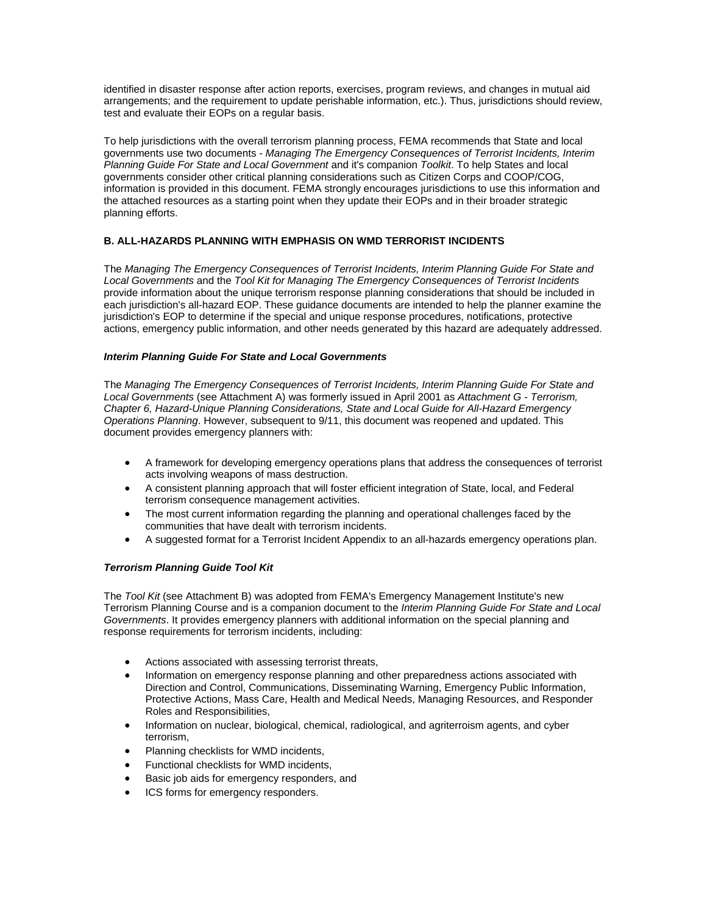identified in disaster response after action reports, exercises, program reviews, and changes in mutual aid arrangements; and the requirement to update perishable information, etc.). Thus, jurisdictions should review, test and evaluate their EOPs on a regular basis.

To help jurisdictions with the overall terrorism planning process, FEMA recommends that State and local governments use two documents - *Managing The Emergency Consequences of Terrorist Incidents, Interim Planning Guide For State and Local Government* and it's companion *Toolkit*. To help States and local governments consider other critical planning considerations such as Citizen Corps and COOP/COG, information is provided in this document. FEMA strongly encourages jurisdictions to use this information and the attached resources as a starting point when they update their EOPs and in their broader strategic planning efforts.

## **B. ALL-HAZARDS PLANNING WITH EMPHASIS ON WMD TERRORIST INCIDENTS**

The *Managing The Emergency Consequences of Terrorist Incidents, Interim Planning Guide For State and Local Governments* and the *Tool Kit for Managing The Emergency Consequences of Terrorist Incidents* provide information about the unique terrorism response planning considerations that should be included in each jurisdiction's all-hazard EOP. These guidance documents are intended to help the planner examine the jurisdiction's EOP to determine if the special and unique response procedures, notifications, protective actions, emergency public information, and other needs generated by this hazard are adequately addressed.

#### *Interim Planning Guide For State and Local Governments*

The *Managing The Emergency Consequences of Terrorist Incidents, Interim Planning Guide For State and Local Governments* (see Attachment A) was formerly issued in April 2001 as *Attachment G - Terrorism, Chapter 6, Hazard-Unique Planning Considerations, State and Local Guide for All-Hazard Emergency Operations Planning*. However, subsequent to 9/11, this document was reopened and updated. This document provides emergency planners with:

- A framework for developing emergency operations plans that address the consequences of terrorist acts involving weapons of mass destruction.
- A consistent planning approach that will foster efficient integration of State, local, and Federal terrorism consequence management activities.
- The most current information regarding the planning and operational challenges faced by the communities that have dealt with terrorism incidents.
- A suggested format for a Terrorist Incident Appendix to an all-hazards emergency operations plan.

### *Terrorism Planning Guide Tool Kit*

The *Tool Kit* (see Attachment B) was adopted from FEMA's Emergency Management Institute's new Terrorism Planning Course and is a companion document to the *Interim Planning Guide For State and Local Governments*. It provides emergency planners with additional information on the special planning and response requirements for terrorism incidents, including:

- Actions associated with assessing terrorist threats,
- Information on emergency response planning and other preparedness actions associated with Direction and Control, Communications, Disseminating Warning, Emergency Public Information, Protective Actions, Mass Care, Health and Medical Needs, Managing Resources, and Responder Roles and Responsibilities,
- Information on nuclear, biological, chemical, radiological, and agriterroism agents, and cyber terrorism,
- Planning checklists for WMD incidents,
- Functional checklists for WMD incidents,
- Basic job aids for emergency responders, and
- ICS forms for emergency responders.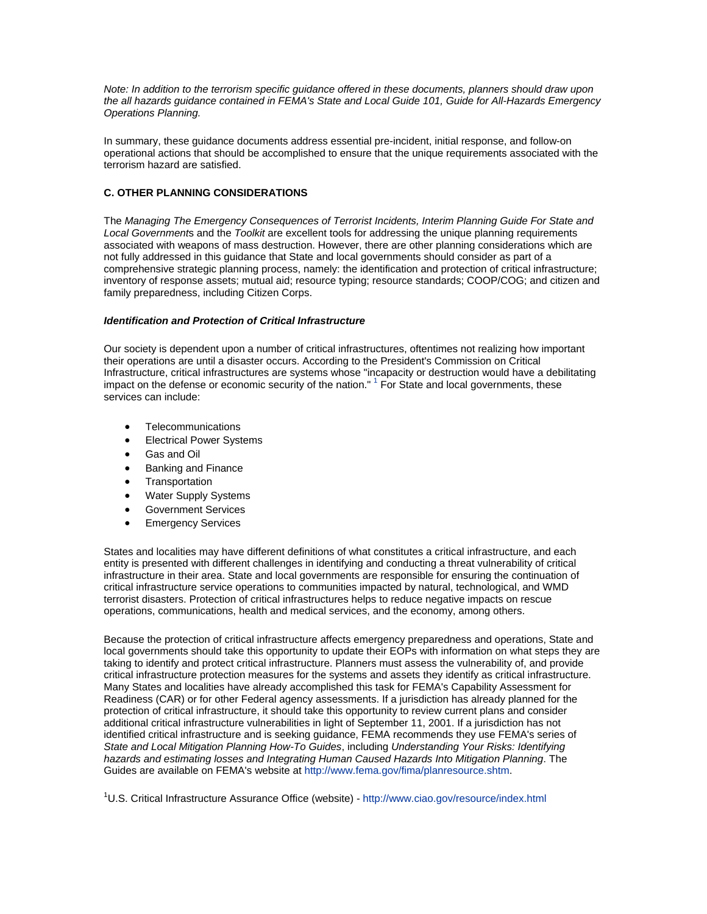*Note: In addition to the terrorism specific guidance offered in these documents, planners should draw upon the all hazards guidance contained in FEMA's State and Local Guide 101, Guide for All-Hazards Emergency Operations Planning.* 

In summary, these guidance documents address essential pre-incident, initial response, and follow-on operational actions that should be accomplished to ensure that the unique requirements associated with the terrorism hazard are satisfied.

## **C. OTHER PLANNING CONSIDERATIONS**

The *Managing The Emergency Consequences of Terrorist Incidents, Interim Planning Guide For State and*  Local Governments and the *Toolkit* are excellent tools for addressing the unique planning requirements associated with weapons of mass destruction. However, there are other planning considerations which are not fully addressed in this guidance that State and local governments should consider as part of a comprehensive strategic planning process, namely: the identification and protection of critical infrastructure; inventory of response assets; mutual aid; resource typing; resource standards; COOP/COG; and citizen and family preparedness, including Citizen Corps.

### *Identification and Protection of Critical Infrastructure*

Our society is dependent upon a number of critical infrastructures, oftentimes not realizing how important their operations are until a disaster occurs. According to the President's Commission on Critical Infrastructure, critical infrastructures are systems whose "incapacity or destruction would have a debilitating impact on the defense or economic security of the nation."  $1$  For State and local governments, these services can include:

- Telecommunications
- Electrical Power Systems
- Gas and Oil
- Banking and Finance
- Transportation
- Water Supply Systems
- Government Services
- **Emergency Services**

States and localities may have different definitions of what constitutes a critical infrastructure, and each entity is presented with different challenges in identifying and conducting a threat vulnerability of critical infrastructure in their area. State and local governments are responsible for ensuring the continuation of critical infrastructure service operations to communities impacted by natural, technological, and WMD terrorist disasters. Protection of critical infrastructures helps to reduce negative impacts on rescue operations, communications, health and medical services, and the economy, among others.

Because the protection of critical infrastructure affects emergency preparedness and operations, State and local governments should take this opportunity to update their EOPs with information on what steps they are taking to identify and protect critical infrastructure. Planners must assess the vulnerability of, and provide critical infrastructure protection measures for the systems and assets they identify as critical infrastructure. Many States and localities have already accomplished this task for FEMA's Capability Assessment for Readiness (CAR) or for other Federal agency assessments. If a jurisdiction has already planned for the protection of critical infrastructure, it should take this opportunity to review current plans and consider additional critical infrastructure vulnerabilities in light of September 11, 2001. If a jurisdiction has not identified critical infrastructure and is seeking guidance, FEMA recommends they use FEMA's series of *State and Local Mitigation Planning How-To Guides*, including *Understanding Your Risks: Identifying hazards and estimating losses and Integrating Human Caused Hazards Into Mitigation Planning*. The Guides are available on FEMA's website at <http://www.fema.gov/fima/planresource.shtm>.

<sup>1</sup>U.S. Critical Infrastructure Assurance Office (website) - [http://www.ciao.gov/resource/index.html](http://www.fema.gov/cgi-shl/goodbye.pl?url=http://www.ciao.gov/resource/index.html)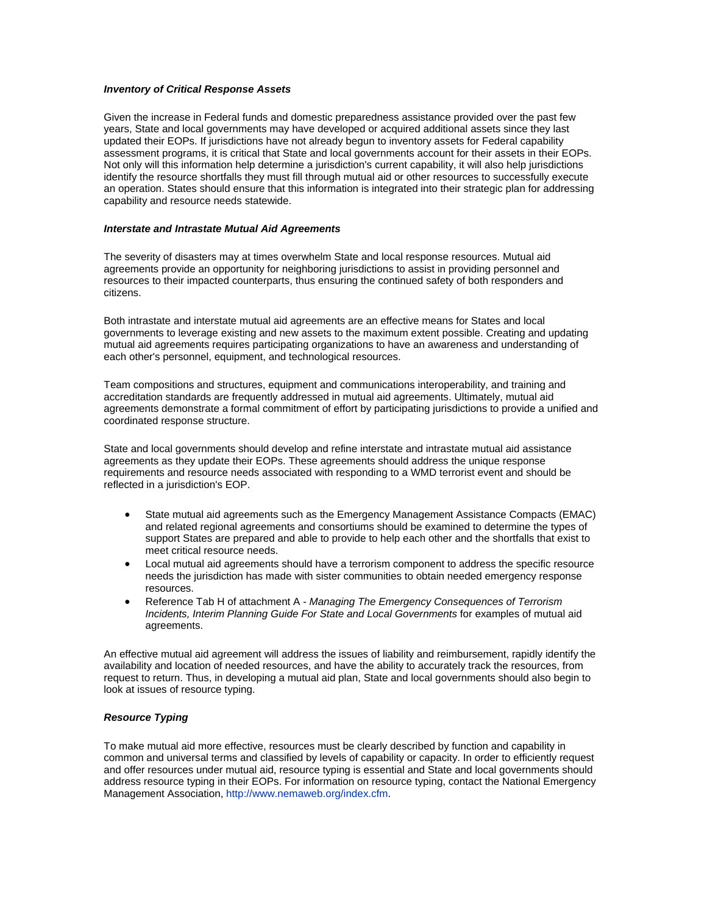#### *Inventory of Critical Response Assets*

Given the increase in Federal funds and domestic preparedness assistance provided over the past few years, State and local governments may have developed or acquired additional assets since they last updated their EOPs. If jurisdictions have not already begun to inventory assets for Federal capability assessment programs, it is critical that State and local governments account for their assets in their EOPs. Not only will this information help determine a jurisdiction's current capability, it will also help jurisdictions identify the resource shortfalls they must fill through mutual aid or other resources to successfully execute an operation. States should ensure that this information is integrated into their strategic plan for addressing capability and resource needs statewide.

#### *Interstate and Intrastate Mutual Aid Agreements*

The severity of disasters may at times overwhelm State and local response resources. Mutual aid agreements provide an opportunity for neighboring jurisdictions to assist in providing personnel and resources to their impacted counterparts, thus ensuring the continued safety of both responders and citizens.

Both intrastate and interstate mutual aid agreements are an effective means for States and local governments to leverage existing and new assets to the maximum extent possible. Creating and updating mutual aid agreements requires participating organizations to have an awareness and understanding of each other's personnel, equipment, and technological resources.

Team compositions and structures, equipment and communications interoperability, and training and accreditation standards are frequently addressed in mutual aid agreements. Ultimately, mutual aid agreements demonstrate a formal commitment of effort by participating jurisdictions to provide a unified and coordinated response structure.

State and local governments should develop and refine interstate and intrastate mutual aid assistance agreements as they update their EOPs. These agreements should address the unique response requirements and resource needs associated with responding to a WMD terrorist event and should be reflected in a jurisdiction's EOP.

- State mutual aid agreements such as the Emergency Management Assistance Compacts (EMAC) and related regional agreements and consortiums should be examined to determine the types of support States are prepared and able to provide to help each other and the shortfalls that exist to meet critical resource needs.
- Local mutual aid agreements should have a terrorism component to address the specific resource needs the jurisdiction has made with sister communities to obtain needed emergency response resources.
- Reference Tab H of attachment A *Managing The Emergency Consequences of Terrorism Incidents, Interim Planning Guide For State and Local Governments* for examples of mutual aid agreements.

An effective mutual aid agreement will address the issues of liability and reimbursement, rapidly identify the availability and location of needed resources, and have the ability to accurately track the resources, from request to return. Thus, in developing a mutual aid plan, State and local governments should also begin to look at issues of resource typing.

### *Resource Typing*

To make mutual aid more effective, resources must be clearly described by function and capability in common and universal terms and classified by levels of capability or capacity. In order to efficiently request and offer resources under mutual aid, resource typing is essential and State and local governments should address resource typing in their EOPs. For information on resource typing, contact the National Emergency Management Association, [http://www.nemaweb.org/index.cfm](http://www.fema.gov/cgi-shl/goodbye.pl?url=http://www.nemaweb.org/index.cfm).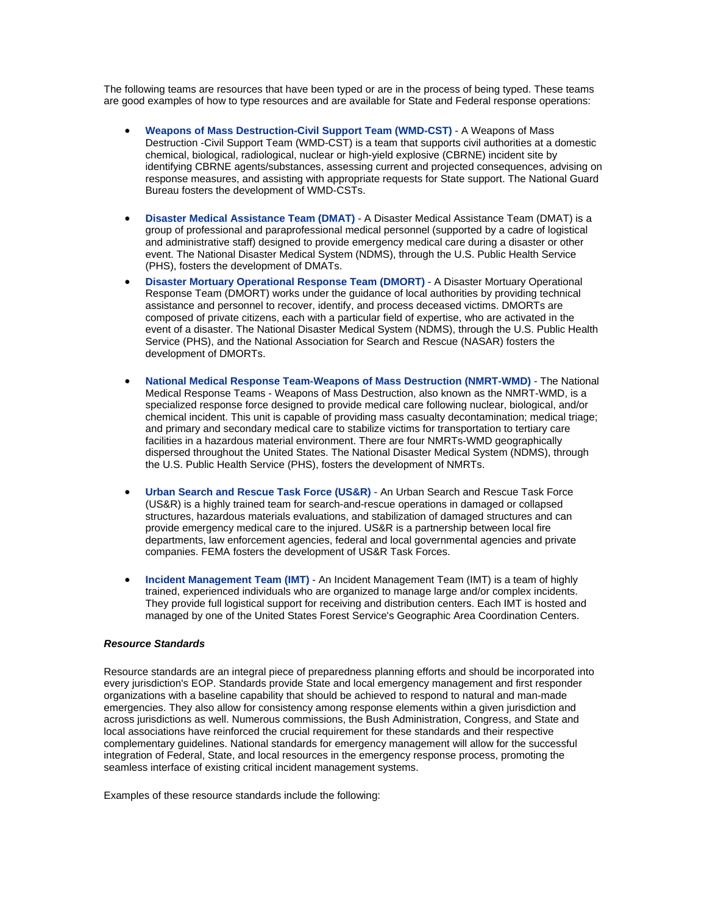The following teams are resources that have been typed or are in the process of being typed. These teams are good examples of how to type resources and are available for State and Federal response operations:

- **[Weapons of Mass Destruction-Civil Support Team \(WMD-CST\)](http://www.fema.gov/cgi-shl/goodbye.pl?url=http://www.ngb.dtic.mil/downloads/fact_sheets/wmd.shtml)** A Weapons of Mass Destruction -Civil Support Team (WMD-CST) is a team that supports civil authorities at a domestic chemical, biological, radiological, nuclear or high-yield explosive (CBRNE) incident site by identifying CBRNE agents/substances, assessing current and projected consequences, advising on response measures, and assisting with appropriate requests for State support. The National Guard Bureau fosters the development of WMD-CSTs.
- **[Disaster Medical Assistance Team \(DMAT\)](http://www.fema.gov/cgi-shl/goodbye.pl?url=http://ndms.dhhs.gov/NDMS/About_Teams/about_teams.html)** A Disaster Medical Assistance Team (DMAT) is a group of professional and paraprofessional medical personnel (supported by a cadre of logistical and administrative staff) designed to provide emergency medical care during a disaster or other event. The National Disaster Medical System (NDMS), through the U.S. Public Health Service [\(P](http://www.fema.gov/cgi-shl/goodbye.pl?url=http://ndms.dhhs.gov/NDMS/About_Teams/about_teams.html)HS), fosters the development of DMATs.
- **[Disaster Mortuary Operational Response Team \(DMORT\)](http://www.fema.gov/cgi-shl/goodbye.pl?url=http://ndms.dhhs.gov/NDMS/About_Teams/about_teams.html)** A Disaster Mortuary Operational Response Team (DMORT) works under the guidance of local authorities by providing technical assistance and personnel to recover, identify, and process deceased victims. DMORTs are composed of private citizens, each with a particular field of expertise, who are activated in the event of a disaster. The National Disaster Medical System (NDMS), through the U.S. Public Health Service (PHS), and the National Association for Search and Rescue (NASAR) fosters the development of DMORTs.
- **[National Medical Response Team-Weapons of Mass Destruction \(NMRT-WMD\)](http://ndms.dhhs.gov/CT_Program/NMRTs/nmrts.html)** The National Medical Response Teams - Weapons of Mass Destruction, also known as the NMRT-WMD, is a specialized response force designed to provide medical care following nuclear, biological, and/or chemical incident. This unit is capable of providing mass casualty decontamination; medical triage; and primary and secondary medical care to stabilize victims for transportation to tertiary care facilities in a hazardous material environment. There are four NMRTs-WMD geographically dispersed throughout the United States. The National Disaster Medical System (NDMS), through the U.S. Public Health Service (PHS), fosters the development of NMRTs.
- **[Urban Search and Rescue Task Force \(US&R\)](http://www.fema.gov/usr/usrdocs.shtm)** An Urban Search and Rescue Task Force (US&R) is a highly trained team for search-and-rescue operations in damaged or collapsed structures, hazardous materials evaluations, and stabilization of damaged structures and can provide emergency medical care to the injured. US&R is a partnership between local fire departments, law enforcement agencies, federal and local governmental agencies and private companies. FEMA fosters the development of US&R Task Forces.
- **[Incident Management Team \(IMT\)](http://www.fema.gov/cgi-shl/goodbye.pl?url=http://www.fs.fed.us/fire/fire_new/index.html%20)** An Incident Management Team (IMT) is a team of highly trained, experienced individuals who are organized to manage large and/or complex incidents. They provide full logistical support for receiving and distribution centers. Each IMT is hosted and managed by one of the United States Forest Service's Geographic Area Coordination Centers.

#### *Resource Standards*

Resource standards are an integral piece of preparedness planning efforts and should be incorporated into every jurisdiction's EOP. Standards provide State and local emergency management and first responder organizations with a baseline capability that should be achieved to respond to natural and man-made emergencies. They also allow for consistency among response elements within a given jurisdiction and across jurisdictions as well. Numerous commissions, the Bush Administration, Congress, and State and local associations have reinforced the crucial requirement for these standards and their respective complementary guidelines. National standards for emergency management will allow for the successful integration of Federal, State, and local resources in the emergency response process, promoting the seamless interface of existing critical incident management systems.

Examples of these resource standards include the following: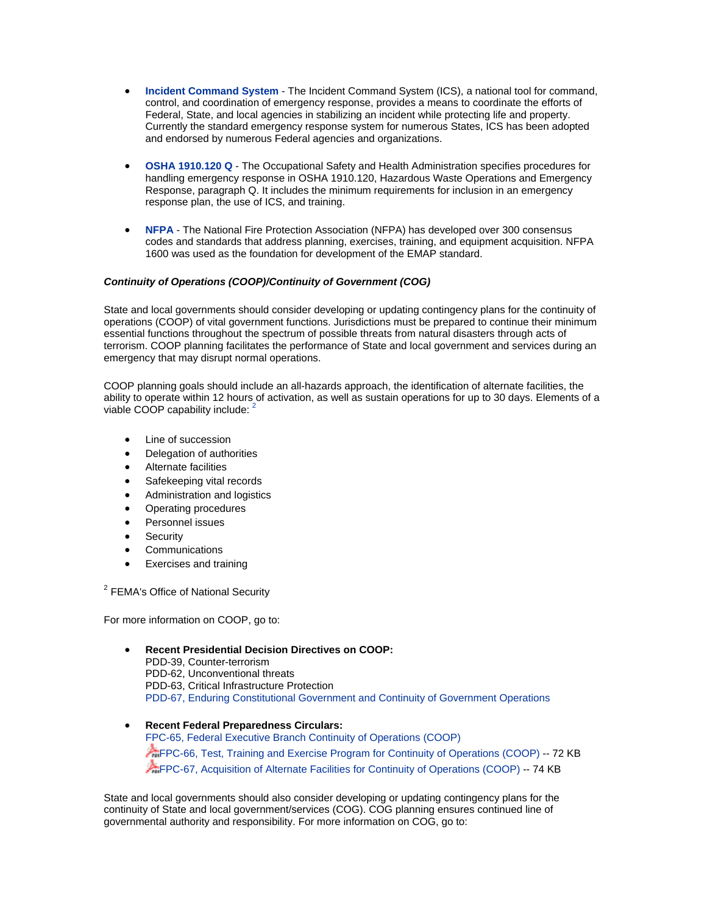- **[Incident Command System](http://training.fema.gov/EMIWeb/is195.htm)** The Incident Command System (ICS), a national tool for command, control, and coordination of emergency response, provides a means to coordinate the efforts of Federal, State, and local agencies in stabilizing an incident while protecting life and property. Currently the standard emergency response system for numerous States, ICS has been adopted and endorsed by numerous Federal agencies and organizations.
- **[OSHA 1910.120 Q](http://www.osha.gov/pls/oshaweb/owadisp.show_document?p_table=STANDARDS&p_id=9765&p_text_version=FALSE)** The Occupational Safety and Health Administration specifies procedures for handling emergency response in OSHA 1910.120, Hazardous Waste Operations and Emergency Response, paragraph Q. It includes the minimum requirements for inclusion in an emergency response plan, the use of ICS, and training.
- **[NFPA](http://www.fema.gov/cgi-shl/goodbye.pl?url=http://www.nfpa.org/Codes/index.asp)** The National Fire Protection Association (NFPA) has developed over 300 consensus codes and standards that address planning, exercises, training, and equipment acquisition. NFPA 1600 was used as the foundation for development of the EMAP standard.

### *Continuity of Operations (COOP)/Continuity of Government (COG)*

State and local governments should consider developing or updating contingency plans for the continuity of operations (COOP) of vital government functions. Jurisdictions must be prepared to continue their minimum essential functions throughout the spectrum of possible threats from natural disasters through acts of terrorism. COOP planning facilitates the performance of State and local government and services during an emergency that may disrupt normal operations.

COOP planning goals should include an all-hazards approach, the identification of alternate facilities, the ability to operate within 12 hours of activation, as well as sustain operations for up to 30 days. Elements of a viable COOP capability include: <sup>2</sup>

- Line of succession
- Delegation of authorities
- Alternate facilities
- Safekeeping vital records
- Administration and logistics
- Operating procedures
- Personnel issues
- **Security**
- **Communications**
- Exercises and training

<sup>2</sup> FEMA's Office of National Security

For more information on COOP, go to:

- **Recent Presidential Decision Directives on COOP:** PDD-39, Counter-terrorism PDD-62, Unconventional threats PDD-63, Critical Infrastructure Protection [PDD-67, Enduring Constitutional Government and Continuity of Government Operations](http://www.fema.gov/cgi-shl/goodbye.pl?url=http://www.fas.org/irp/offdocs/pdd/pdd-67.htm)
- **Recent Federal Preparedness Circulars:** [FPC-65, Federal Executive Branch Continuity of Operations \(COOP\)](http://www.fema.gov/cgi-shl/goodbye.pl?url=http://www.fas.org/irp/offdocs/pdd/fpc-65.htm) [FPC-66, Test, Training and Exercise Program for Continuity of Operations \(COOP\)](http://www.fema.gov/pdf/library/fpc66.pdf) -- 72 KB [FPC-67, Acquisition of Alternate Facilities for Continuity](http://www.fema.gov/pdf/library/fpc67.pdf) of Operations (COOP) -- 74 KB

State and local governments should also consider developing or updating contingency plans for the continuity of State and local government/services (COG). COG planning ensures continued line of governmental authority and responsibility. For more information on COG, go to: